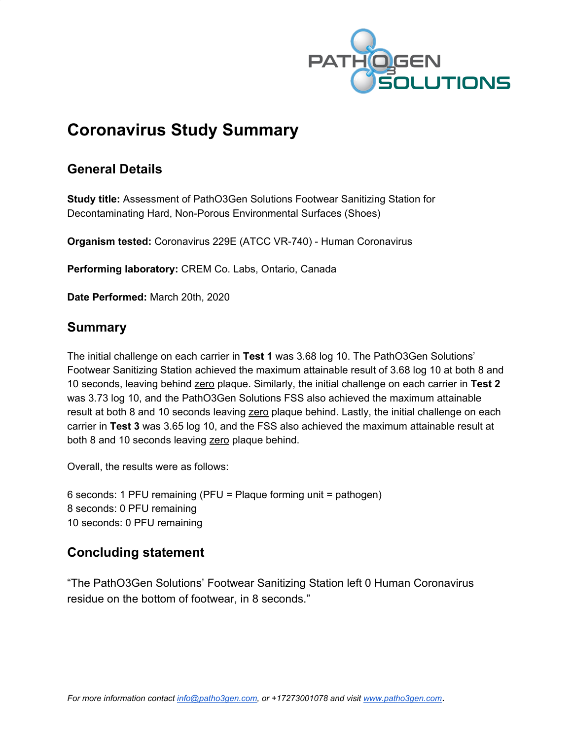

# **Coronavirus Study Summary**

## **General Details**

**Study title:** Assessment of PathO3Gen Solutions Footwear Sanitizing Station for Decontaminating Hard, Non-Porous Environmental Surfaces (Shoes)

**Organism tested:** Coronavirus 229E (ATCC VR-740) - Human Coronavirus

**Performing laboratory:** CREM Co. Labs, Ontario, Canada

**Date Performed:** March 20th, 2020

## **Summary**

The initial challenge on each carrier in **Test 1** was 3.68 log 10. The PathO3Gen Solutions' Footwear Sanitizing Station achieved the maximum attainable result of 3.68 log 10 at both 8 and 10 seconds, leaving behind zero plaque. Similarly, the initial challenge on each carrier in **Test 2** was 3.73 log 10, and the PathO3Gen Solutions FSS also achieved the maximum attainable result at both 8 and 10 seconds leaving zero plaque behind. Lastly, the initial challenge on each carrier in **Test 3** was 3.65 log 10, and the FSS also achieved the maximum attainable result at both 8 and 10 seconds leaving zero plaque behind.

Overall, the results were as follows:

6 seconds: 1 PFU remaining (PFU = Plaque forming unit = pathogen) 8 seconds: 0 PFU remaining 10 seconds: 0 PFU remaining

## **Concluding statement**

"The PathO3Gen Solutions' Footwear Sanitizing Station left 0 Human Coronavirus residue on the bottom of footwear, in 8 seconds."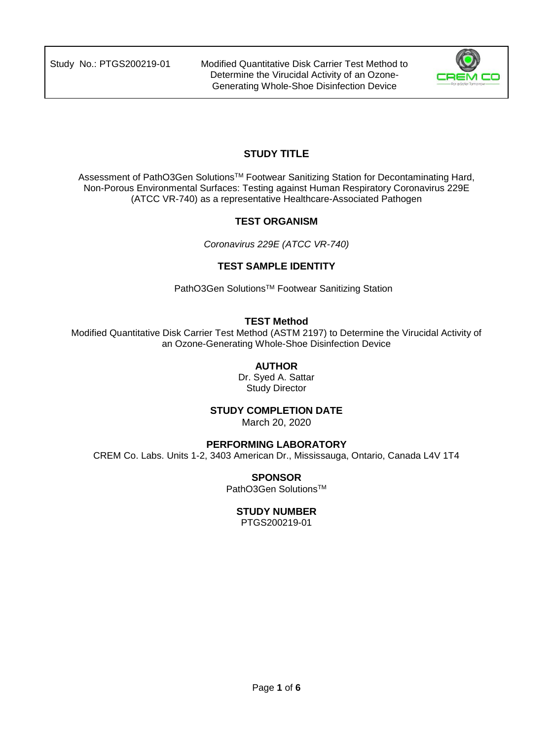

## **STUDY TITLE**

Assessment of PathO3Gen Solutions™ Footwear Sanitizing Station for Decontaminating Hard, Non-Porous Environmental Surfaces: Testing against Human Respiratory Coronavirus 229E (ATCC VR-740) as a representative Healthcare-Associated Pathogen

#### **TEST ORGANISM**

*Coronavirus 229E (ATCC VR-740)* 

#### **TEST SAMPLE IDENTITY**

PathO3Gen Solutions™ Footwear Sanitizing Station

#### **TEST Method**

Modified Quantitative Disk Carrier Test Method (ASTM 2197) to Determine the Virucidal Activity of an Ozone-Generating Whole-Shoe Disinfection Device

#### **AUTHOR**

Dr. Syed A. Sattar Study Director

#### **STUDY COMPLETION DATE**

March 20, 2020

#### **PERFORMING LABORATORY**

CREM Co. Labs. Units 1-2, 3403 American Dr., Mississauga, Ontario, Canada L4V 1T4

#### **SPONSOR**

PathO3Gen Solutions<sup>™</sup>

#### **STUDY NUMBER**

PTGS200219-01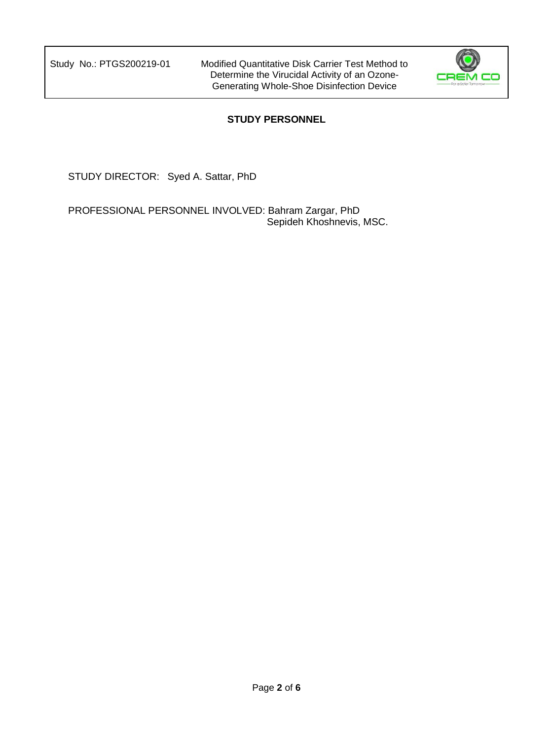

### **STUDY PERSONNEL**

STUDY DIRECTOR: Syed A. Sattar, PhD

PROFESSIONAL PERSONNEL INVOLVED: Bahram Zargar, PhD Sepideh Khoshnevis, MSC.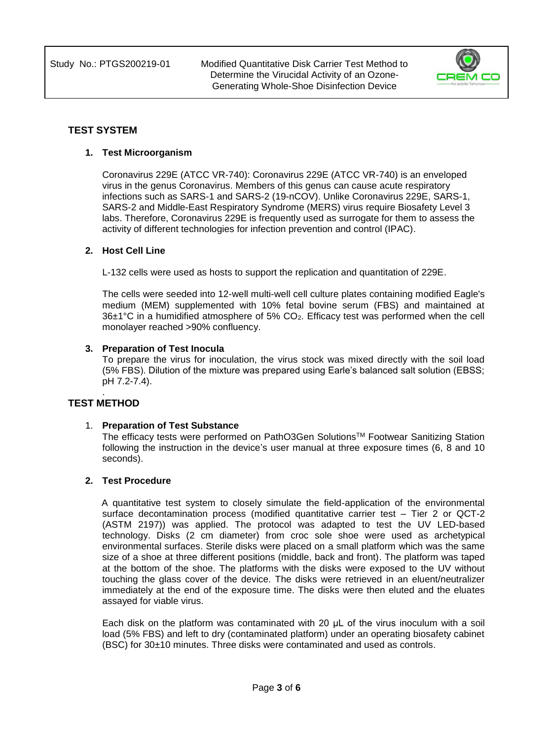

#### **TEST SYSTEM**

#### **1. Test Microorganism**

Coronavirus 229E (ATCC VR-740): Coronavirus 229E (ATCC VR-740) is an enveloped virus in the genus Coronavirus. Members of this genus can cause acute respiratory infections such as SARS-1 and SARS-2 (19-nCOV). Unlike Coronavirus 229E, SARS-1, SARS-2 and Middle-East Respiratory Syndrome (MERS) virus require Biosafety Level 3 labs. Therefore, Coronavirus 229E is frequently used as surrogate for them to assess the activity of different technologies for infection prevention and control (IPAC).

#### **2. Host Cell Line**

L-132 cells were used as hosts to support the replication and quantitation of 229E.

The cells were seeded into 12-well multi-well cell culture plates containing modified Eagle's medium (MEM) supplemented with 10% fetal bovine serum (FBS) and maintained at 36±1°C in a humidified atmosphere of 5% CO2. Efficacy test was performed when the cell monolayer reached >90% confluency.

#### **3. Preparation of Test Inocula**

To prepare the virus for inoculation, the virus stock was mixed directly with the soil load (5% FBS). Dilution of the mixture was prepared using Earle's balanced salt solution (EBSS; pH 7.2-7.4).

#### . **TEST METHOD**

#### 1. **Preparation of Test Substance**

The efficacy tests were performed on PathO3Gen SolutionsTM Footwear Sanitizing Station following the instruction in the device's user manual at three exposure times (6, 8 and 10 seconds).

#### **2. Test Procedure**

A quantitative test system to closely simulate the field-application of the environmental surface decontamination process (modified quantitative carrier test – Tier 2 or QCT-2 (ASTM 2197)) was applied. The protocol was adapted to test the UV LED-based technology. Disks (2 cm diameter) from croc sole shoe were used as archetypical environmental surfaces. Sterile disks were placed on a small platform which was the same size of a shoe at three different positions (middle, back and front). The platform was taped at the bottom of the shoe. The platforms with the disks were exposed to the UV without touching the glass cover of the device. The disks were retrieved in an eluent/neutralizer immediately at the end of the exposure time. The disks were then eluted and the eluates assayed for viable virus.

Each disk on the platform was contaminated with 20 μL of the virus inoculum with a soil load (5% FBS) and left to dry (contaminated platform) under an operating biosafety cabinet (BSC) for 30±10 minutes. Three disks were contaminated and used as controls.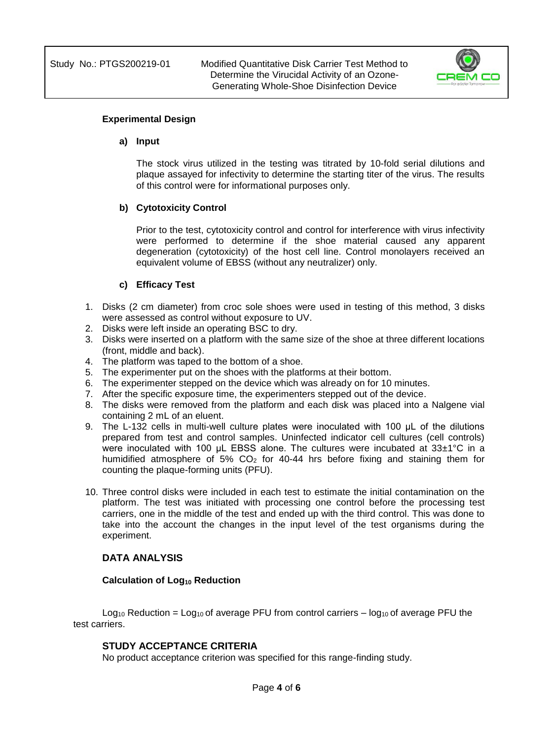

#### **Experimental Design**

#### **a) Input**

The stock virus utilized in the testing was titrated by 10-fold serial dilutions and plaque assayed for infectivity to determine the starting titer of the virus. The results of this control were for informational purposes only.

#### **b) Cytotoxicity Control**

Prior to the test, cytotoxicity control and control for interference with virus infectivity were performed to determine if the shoe material caused any apparent degeneration (cytotoxicity) of the host cell line. Control monolayers received an equivalent volume of EBSS (without any neutralizer) only.

#### **c) Efficacy Test**

- 1. Disks (2 cm diameter) from croc sole shoes were used in testing of this method, 3 disks were assessed as control without exposure to UV.
- 2. Disks were left inside an operating BSC to dry.
- 3. Disks were inserted on a platform with the same size of the shoe at three different locations (front, middle and back).
- 4. The platform was taped to the bottom of a shoe.
- 5. The experimenter put on the shoes with the platforms at their bottom.
- 6. The experimenter stepped on the device which was already on for 10 minutes.
- 7. After the specific exposure time, the experimenters stepped out of the device.
- 8. The disks were removed from the platform and each disk was placed into a Nalgene vial containing 2 mL of an eluent.
- 9. The L-132 cells in multi-well culture plates were inoculated with 100 μL of the dilutions prepared from test and control samples. Uninfected indicator cell cultures (cell controls) were inoculated with 100 μL EBSS alone. The cultures were incubated at 33±1°C in a humidified atmosphere of 5%  $CO<sub>2</sub>$  for 40-44 hrs before fixing and staining them for counting the plaque-forming units (PFU).
- 10. Three control disks were included in each test to estimate the initial contamination on the platform. The test was initiated with processing one control before the processing test carriers, one in the middle of the test and ended up with the third control. This was done to take into the account the changes in the input level of the test organisms during the experiment.

#### **DATA ANALYSIS**

#### **Calculation of Log<sup>10</sup> Reduction**

 $Log_{10}$  Reduction = Log<sub>10</sub> of average PFU from control carriers – log<sub>10</sub> of average PFU the test carriers.

#### **STUDY ACCEPTANCE CRITERIA**

No product acceptance criterion was specified for this range-finding study.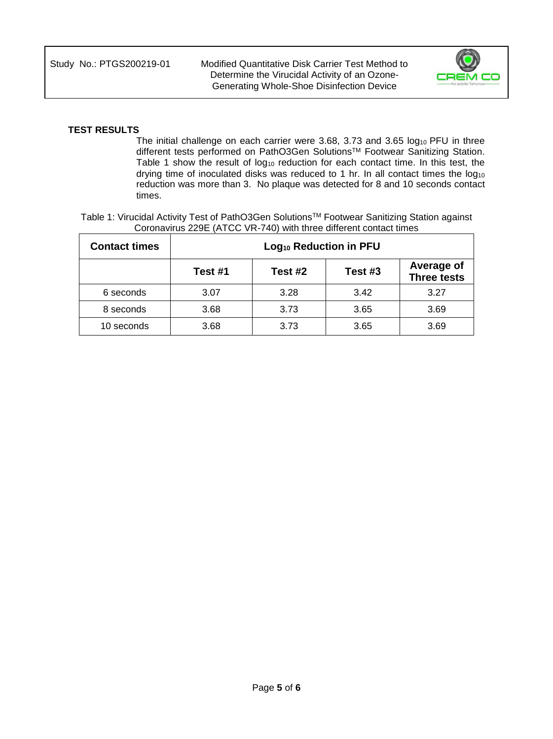

#### **TEST RESULTS**

The initial challenge on each carrier were 3.68, 3.73 and 3.65 log<sub>10</sub> PFU in three different tests performed on PathO3Gen Solutions™ Footwear Sanitizing Station. Table 1 show the result of  $log_{10}$  reduction for each contact time. In this test, the drying time of inoculated disks was reduced to 1 hr. In all contact times the  $log_{10}$ reduction was more than 3. No plaque was detected for 8 and 10 seconds contact times.

Table 1: Virucidal Activity Test of PathO3Gen Solutions™ Footwear Sanitizing Station against Coronavirus 229E (ATCC VR-740) with three different contact times

| <b>Contact times</b> | Log <sub>10</sub> Reduction in PFU |         |         |                                  |  |  |  |  |
|----------------------|------------------------------------|---------|---------|----------------------------------|--|--|--|--|
|                      | Test #1                            | Test #2 | Test #3 | Average of<br><b>Three tests</b> |  |  |  |  |
| 6 seconds            | 3.07                               | 3.28    | 3.42    | 3.27                             |  |  |  |  |
| 8 seconds            | 3.68                               | 3.73    | 3.65    | 3.69                             |  |  |  |  |
| 10 seconds           | 3.68                               | 3.73    | 3.65    | 3.69                             |  |  |  |  |